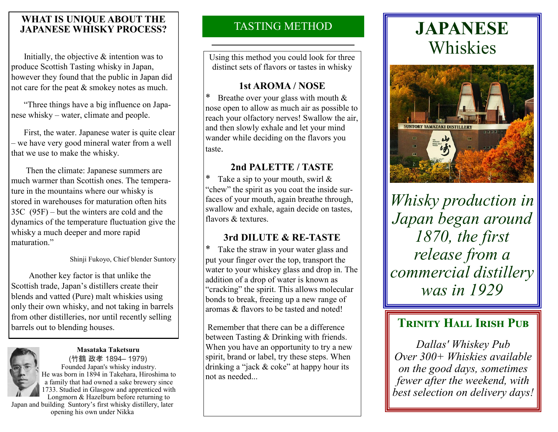#### **WHAT IS UNIQUE ABOUT THE<br>
IA PANESE WHISKY PROCESS?** TASTING METHOD **JAPANESE WHISKY PROCESS?**

 Initially, the objective & intention was to produce Scottish Tasting whisky in Japan, however they found that the public in Japan did not care for the peat & smokey notes as much.

 "Three things have a big influence on Japanese whisky – water, climate and people.

 First, the water. Japanese water is quite clear – we have very good mineral water from a well that we use to make the whisky.

 Then the climate: Japanese summers are much warmer than Scottish ones. The temperature in the mountains where our whisky is stored in warehouses for maturation often hits 35C (95F) – but the winters are cold and the dynamics of the temperature fluctuation give the whisky a much deeper and more rapid maturation."

Shinji Fukoyo, Chief blender Suntory

 Another key factor is that unlike the Scottish trade, Japan's distillers create their blends and vatted (Pure) malt whiskies using only their own whisky, and not taking in barrels from other distilleries, nor until recently selling barrels out to blending houses.

# **Masataka Taketsuru**



(竹鶴 政孝 1894– 1979) Founded Japan's whisky industry. He was born in 1894 in Takehara, Hiroshima to a family that had owned a sake brewery since 1733. Studied in Glasgow and apprenticed with Longmorn & Hazelburn before returning to

Japan and building Suntory's first whisky distillery, later opening his own under Nikka

Using this method you could look for three distinct sets of flavors or tastes in whisky

#### **1st AROMA / NOSE**

Breathe over your glass with mouth  $&$ nose open to allow as much air as possible to reach your olfactory nerves! Swallow the air, and then slowly exhale and let your mind wander while deciding on the flavors you taste.

#### **2nd PALETTE / TASTE**

Take a sip to your mouth, swirl  $\&$ "chew" the spirit as you coat the inside surfaces of your mouth, again breathe through, swallow and exhale, again decide on tastes, flavors & textures.

#### **3rd DILUTE & RE-TASTE**

\* Take the straw in your water glass and put your finger over the top, transport the water to your whiskey glass and drop in. The addition of a drop of water is known as "cracking" the spirit. This allows molecular bonds to break, freeing up a new range of aromas & flavors to be tasted and noted!

Remember that there can be a difference between Tasting & Drinking with friends. When you have an opportunity to try a new spirit, brand or label, try these steps. When drinking a "jack & coke" at happy hour its not as needed...

## **JAPANESE** Whiskies



*Whisky production in Japan began around 1870, the first release from a commercial distillery was in 1929*

### **TRINITY HALL IRISH PUB**

*Dallas' Whiskey Pub Over 300+ Whiskies available on the good days, sometimes fewer after the weekend, with best selection on delivery days!*